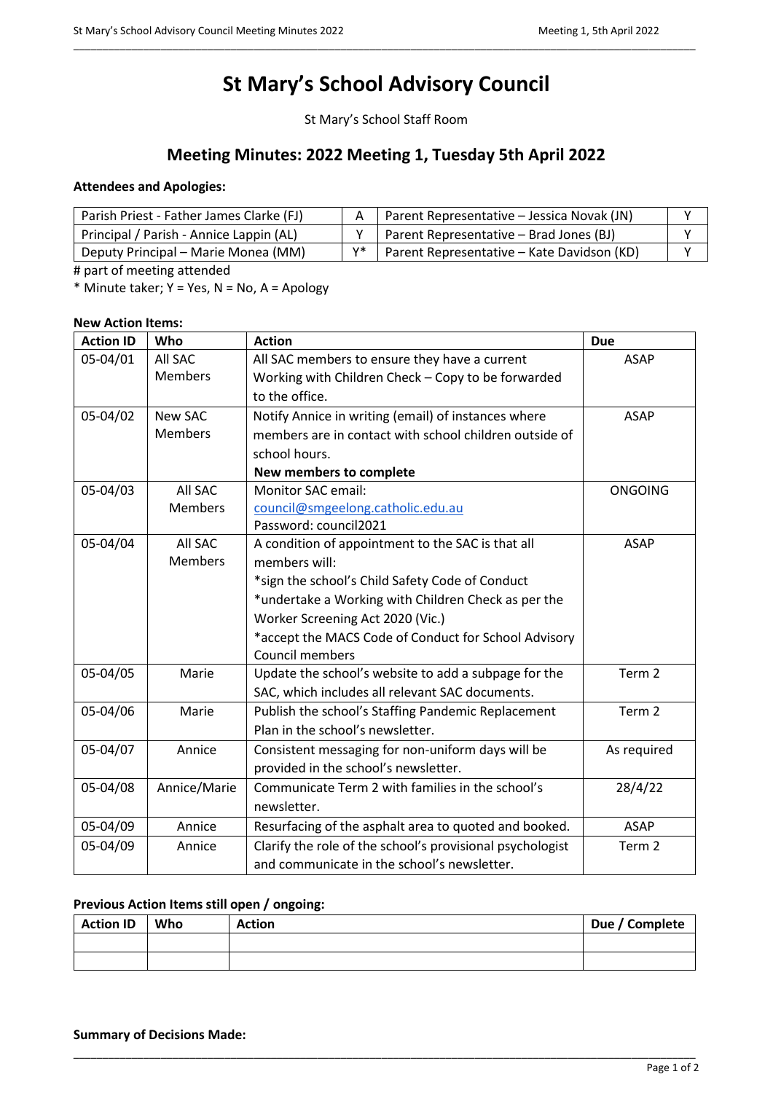# **St Mary's School Advisory Council**

\_\_\_\_\_\_\_\_\_\_\_\_\_\_\_\_\_\_\_\_\_\_\_\_\_\_\_\_\_\_\_\_\_\_\_\_\_\_\_\_\_\_\_\_\_\_\_\_\_\_\_\_\_\_\_\_\_\_\_\_\_\_\_\_\_\_\_\_\_\_\_\_\_\_\_\_\_\_\_\_\_\_\_\_\_\_\_\_\_\_\_\_\_\_\_\_\_\_\_\_\_\_\_\_\_\_\_

St Mary's School Staff Room

# **Meeting Minutes: 2022 Meeting 1, Tuesday 5th April 2022**

## **Attendees and Apologies:**

| Parish Priest - Father James Clarke (FJ) |    | Parent Representative - Jessica Novak (JN) |  |
|------------------------------------------|----|--------------------------------------------|--|
| Principal / Parish - Annice Lappin (AL)  |    | Parent Representative - Brad Jones (BJ)    |  |
| Deputy Principal – Marie Monea (MM)      | v* | Parent Representative - Kate Davidson (KD) |  |

# part of meeting attended

\* Minute taker;  $Y = Yes$ ,  $N = No$ ,  $A = Apology$ 

# **New Action Items:**

| <b>Action ID</b> | Who            | <b>Action</b>                                             | <b>Due</b>        |
|------------------|----------------|-----------------------------------------------------------|-------------------|
| 05-04/01         | All SAC        | All SAC members to ensure they have a current             | <b>ASAP</b>       |
|                  | <b>Members</b> | Working with Children Check - Copy to be forwarded        |                   |
|                  |                | to the office.                                            |                   |
| 05-04/02         | <b>New SAC</b> | Notify Annice in writing (email) of instances where       | <b>ASAP</b>       |
|                  | <b>Members</b> | members are in contact with school children outside of    |                   |
|                  |                | school hours.                                             |                   |
|                  |                | New members to complete                                   |                   |
| 05-04/03         | All SAC        | <b>Monitor SAC email:</b>                                 | <b>ONGOING</b>    |
|                  | <b>Members</b> | council@smgeelong.catholic.edu.au                         |                   |
|                  |                | Password: council2021                                     |                   |
| 05-04/04         | All SAC        | A condition of appointment to the SAC is that all         | <b>ASAP</b>       |
|                  | <b>Members</b> | members will:                                             |                   |
|                  |                | *sign the school's Child Safety Code of Conduct           |                   |
|                  |                | *undertake a Working with Children Check as per the       |                   |
|                  |                | Worker Screening Act 2020 (Vic.)                          |                   |
|                  |                | *accept the MACS Code of Conduct for School Advisory      |                   |
|                  |                | Council members                                           |                   |
| 05-04/05         | Marie          | Update the school's website to add a subpage for the      | Term <sub>2</sub> |
|                  |                | SAC, which includes all relevant SAC documents.           |                   |
| 05-04/06         | Marie          | Publish the school's Staffing Pandemic Replacement        | Term 2            |
|                  |                | Plan in the school's newsletter.                          |                   |
| 05-04/07         | Annice         | Consistent messaging for non-uniform days will be         | As required       |
|                  |                | provided in the school's newsletter.                      |                   |
| 05-04/08         | Annice/Marie   | Communicate Term 2 with families in the school's          | 28/4/22           |
|                  |                | newsletter.                                               |                   |
| 05-04/09         | Annice         | Resurfacing of the asphalt area to quoted and booked.     | <b>ASAP</b>       |
| 05-04/09         | Annice         | Clarify the role of the school's provisional psychologist | Term <sub>2</sub> |
|                  |                | and communicate in the school's newsletter.               |                   |

# **Previous Action Items still open / ongoing:**

| <b>Action ID</b> | Who | <b>Action</b> | Due / Complete |
|------------------|-----|---------------|----------------|
|                  |     |               |                |
|                  |     |               |                |

\_\_\_\_\_\_\_\_\_\_\_\_\_\_\_\_\_\_\_\_\_\_\_\_\_\_\_\_\_\_\_\_\_\_\_\_\_\_\_\_\_\_\_\_\_\_\_\_\_\_\_\_\_\_\_\_\_\_\_\_\_\_\_\_\_\_\_\_\_\_\_\_\_\_\_\_\_\_\_\_\_\_\_\_\_\_\_\_\_\_\_\_\_\_\_\_\_\_\_\_\_\_\_\_\_\_\_